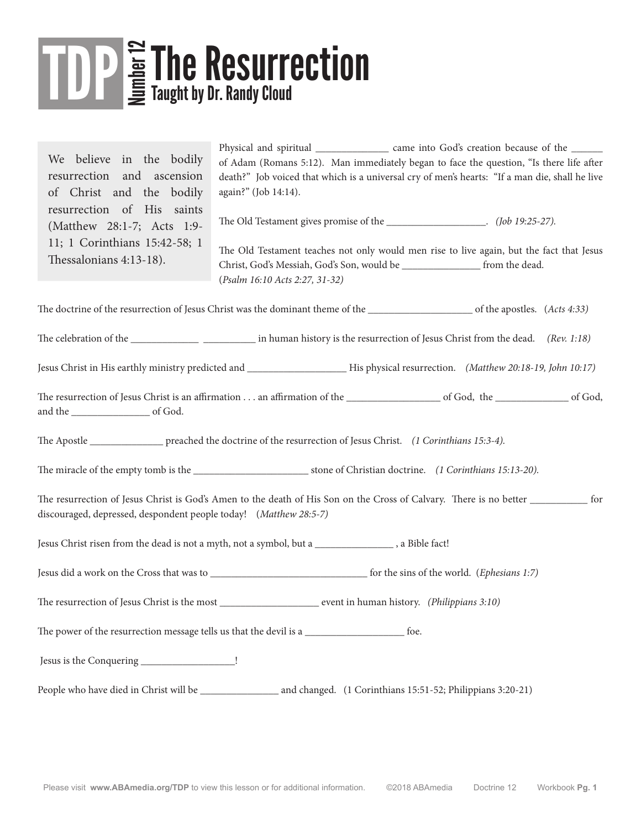## The Resurrection

We believe in the bodily resurrection and ascension of Christ and the bodily resurrection of His saints (Matthew 28:1-7; Acts 1:9- 11; 1 Corinthians 15:42-58; 1 Thessalonians 4:13-18).

Physical and spiritual \_\_\_\_\_\_\_\_\_\_\_\_\_\_\_ came into God's creation because of the \_\_\_\_\_\_ of Adam (Romans 5:12). Man immediately began to face the question, "Is there life after death?" Job voiced that which is a universal cry of men's hearts: "If a man die, shall he live again?" (Job 14:14).

The Old Testament gives promise of the  $(Job 19:25-27)$ .

The Old Testament teaches not only would men rise to live again, but the fact that Jesus Christ, God's Messiah, God's Son, would be from the dead. (*Psalm 16:10 Acts 2:27, 31-32)*

The doctrine of the resurrection of Jesus Christ was the dominant theme of the \_\_\_\_\_\_\_\_\_\_\_\_\_\_\_\_\_\_\_\_ of the apostles. (*Acts 4:33)*

The celebration of the \_\_\_\_\_\_\_\_\_\_\_\_\_\_ \_\_\_\_\_\_ in human history is the resurrection of Jesus Christ from the dead. *(Rev. 1:18)* 

Jesus Christ in His earthly ministry predicted and \_\_\_\_\_\_\_\_\_\_\_\_\_\_\_\_\_\_\_ His physical resurrection. *(Matthew 20:18-19, John 10:17)*

The resurrection of Jesus Christ is an affirmation . . . an affirmation of the \_\_\_\_\_\_\_\_\_\_\_\_\_\_\_\_\_\_\_\_\_ of God, the \_\_\_\_\_\_\_\_\_\_\_\_\_\_\_\_\_\_ of God, and the \_\_\_\_\_\_\_\_\_\_\_\_\_\_\_ of God.

The Apostle \_\_\_\_\_\_\_\_\_\_\_\_\_\_ preached the doctrine of the resurrection of Jesus Christ. *(1 Corinthians 15:3-4).* 

The miracle of the empty tomb is the  $\blacksquare$  stone of Christian doctrine. *(1 Corinthians 15:13-20).* 

The resurrection of Jesus Christ is God's Amen to the death of His Son on the Cross of Calvary. There is no better \_\_\_\_\_\_\_\_\_\_\_ for discouraged, depressed, despondent people today! (*Matthew 28:5-7)*

Jesus Christ risen from the dead is not a myth, not a symbol, but a \_\_\_\_\_\_\_\_\_\_\_\_\_\_\_ , a Bible fact!

Jesus did a work on the Cross that was to \_\_\_\_\_\_\_\_\_\_\_\_\_\_\_\_\_\_\_\_\_\_\_\_\_\_\_\_\_\_ for the sins of the world. (*Ephesians 1:7)*

The resurrection of Jesus Christ is the most event in human history. *(Philippians 3:10)* 

The power of the resurrection message tells us that the devil is a \_\_\_\_\_\_\_\_\_\_\_\_\_\_\_\_\_\_\_ foe.

Jesus is the Conquering \_\_\_\_\_\_\_\_\_\_\_\_\_\_\_\_\_\_\_!

People who have died in Christ will be \_\_\_\_\_\_\_\_\_\_\_\_\_\_\_ and changed. (1 Corinthians 15:51-52; Philippians 3:20-21)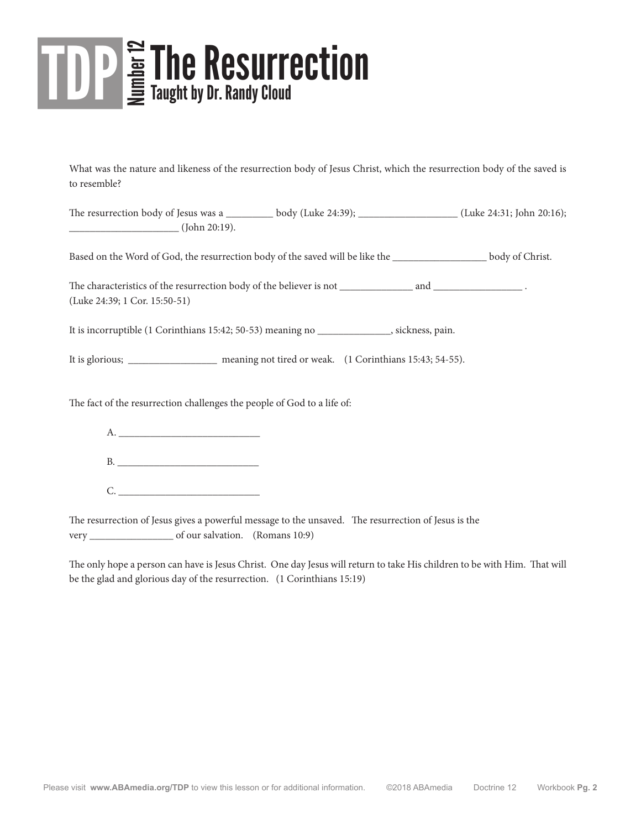## The Resurrection

What was the nature and likeness of the resurrection body of Jesus Christ, which the resurrection body of the saved is to resemble?

The resurrection body of Jesus was a \_\_\_\_\_\_\_\_\_ body (Luke 24:39); \_\_\_\_\_\_\_\_\_\_\_\_\_\_\_\_\_\_\_ (Luke 24:31; John 20:16); \_\_\_\_\_\_\_\_\_\_\_\_\_\_\_\_\_\_\_\_\_ (John 20:19).

Based on the Word of God, the resurrection body of the saved will be like the \_\_\_\_\_\_\_\_\_\_\_\_\_\_\_\_\_\_ body of Christ.

The characteristics of the resurrection body of the believer is not \_\_\_\_\_\_\_\_\_\_\_\_\_\_ and \_\_\_\_\_\_\_\_\_\_\_\_\_\_\_\_\_ . (Luke 24:39; 1 Cor. 15:50-51)

It is incorruptible (1 Corinthians 15:42; 50-53) meaning no \_\_\_\_\_\_\_\_\_\_\_\_\_\_, sickness, pain.

It is glorious; \_\_\_\_\_\_\_\_\_\_\_\_\_\_\_\_\_ meaning not tired or weak. (1 Corinthians 15:43; 54-55).

The fact of the resurrection challenges the people of God to a life of:

|      | B. |  |  |
|------|----|--|--|
| D. I |    |  |  |

The resurrection of Jesus gives a powerful message to the unsaved. The resurrection of Jesus is the very \_\_\_\_\_\_\_\_\_\_\_\_\_\_\_\_ of our salvation. (Romans 10:9)

The only hope a person can have is Jesus Christ. One day Jesus will return to take His children to be with Him. That will be the glad and glorious day of the resurrection. (1 Corinthians 15:19)